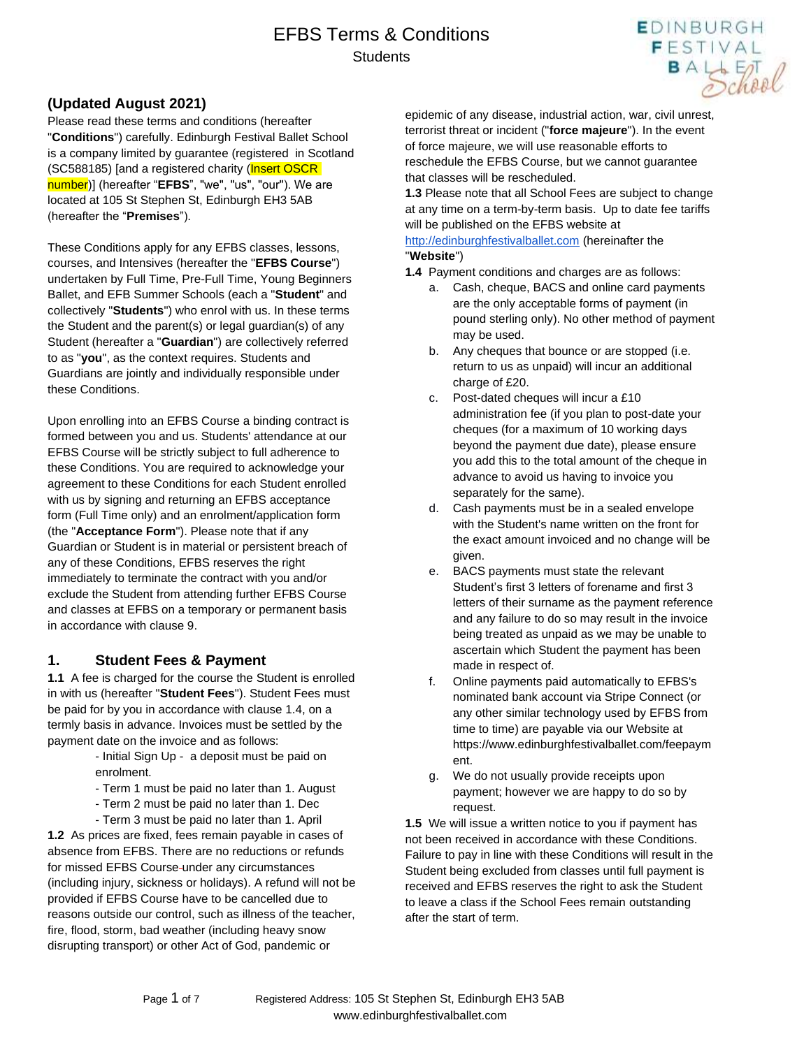

Please read these terms and conditions (hereafter "**Conditions**") carefully. Edinburgh Festival Ballet School is a company limited by guarantee (registered in Scotland (SC588185) [and a registered charity (Insert OSCR number)] (hereafter "**EFBS**", "we", "us", "our"). We are located at 105 St Stephen St, Edinburgh EH3 5AB (hereafter the "**Premises**").

These Conditions apply for any EFBS classes, lessons, courses, and Intensives (hereafter the "**EFBS Course**") undertaken by Full Time, Pre-Full Time, Young Beginners Ballet, and EFB Summer Schools (each a "**Student**" and collectively "**Students**") who enrol with us. In these terms the Student and the parent(s) or legal guardian(s) of any Student (hereafter a "**Guardian**") are collectively referred to as "**you**", as the context requires. Students and Guardians are jointly and individually responsible under these Conditions.

Upon enrolling into an EFBS Course a binding contract is formed between you and us. Students' attendance at our EFBS Course will be strictly subject to full adherence to these Conditions. You are required to acknowledge your agreement to these Conditions for each Student enrolled with us by signing and returning an EFBS acceptance form (Full Time only) and an enrolment/application form (the "**Acceptance Form**"). Please note that if any Guardian or Student is in material or persistent breach of any of these Conditions, EFBS reserves the right immediately to terminate the contract with you and/or exclude the Student from attending further EFBS Course and classes at EFBS on a temporary or permanent basis in accordance with clause 9.

#### **1. Student Fees & Payment**

**1.1** A fee is charged for the course the Student is enrolled in with us (hereafter "**Student Fees**"). Student Fees must be paid for by you in accordance with clause 1.4, on a termly basis in advance. Invoices must be settled by the payment date on the invoice and as follows:

- Initial Sign Up a deposit must be paid on enrolment.
- Term 1 must be paid no later than 1. August
- Term 2 must be paid no later than 1. Dec
- Term 3 must be paid no later than 1. April

**1.2** As prices are fixed, fees remain payable in cases of absence from EFBS. There are no reductions or refunds for missed EFBS Course-under any circumstances (including injury, sickness or holidays). A refund will not be provided if EFBS Course have to be cancelled due to reasons outside our control, such as illness of the teacher, fire, flood, storm, bad weather (including heavy snow disrupting transport) or other Act of God, pandemic or

epidemic of any disease, industrial action, war, civil unrest, terrorist threat or incident ("**force majeure**"). In the event of force majeure, we will use reasonable efforts to reschedule the EFBS Course, but we cannot guarantee that classes will be rescheduled.

**EDINBURGH** FESTIVAL

BALLET O

**1.3** Please note that all School Fees are subject to change at any time on a term-by-term basis. Up to date fee tariffs will be published on the EFBS website at

#### [http://edinburghfestivalballet.com](http://edinburghfestivalballet.com/) (hereinafter the "**Website**")

- **1.4** Payment conditions and charges are as follows:
	- a. Cash, cheque, BACS and online card payments are the only acceptable forms of payment (in pound sterling only). No other method of payment may be used.
	- b. Any cheques that bounce or are stopped (i.e. return to us as unpaid) will incur an additional charge of £20.
	- c. Post-dated cheques will incur a £10 administration fee (if you plan to post-date your cheques (for a maximum of 10 working days beyond the payment due date), please ensure you add this to the total amount of the cheque in advance to avoid us having to invoice you separately for the same).
	- d. Cash payments must be in a sealed envelope with the Student's name written on the front for the exact amount invoiced and no change will be given.
	- e. BACS payments must state the relevant Student's first 3 letters of forename and first 3 letters of their surname as the payment reference and any failure to do so may result in the invoice being treated as unpaid as we may be unable to ascertain which Student the payment has been made in respect of.
	- f. Online payments paid automatically to EFBS's nominated bank account via Stripe Connect (or any other similar technology used by EFBS from time to time) are payable via our Website at https://www.edinburghfestivalballet.com/feepaym ent.
	- g. We do not usually provide receipts upon payment; however we are happy to do so by request.

**1.5** We will issue a written notice to you if payment has not been received in accordance with these Conditions. Failure to pay in line with these Conditions will result in the Student being excluded from classes until full payment is received and EFBS reserves the right to ask the Student to leave a class if the School Fees remain outstanding after the start of term.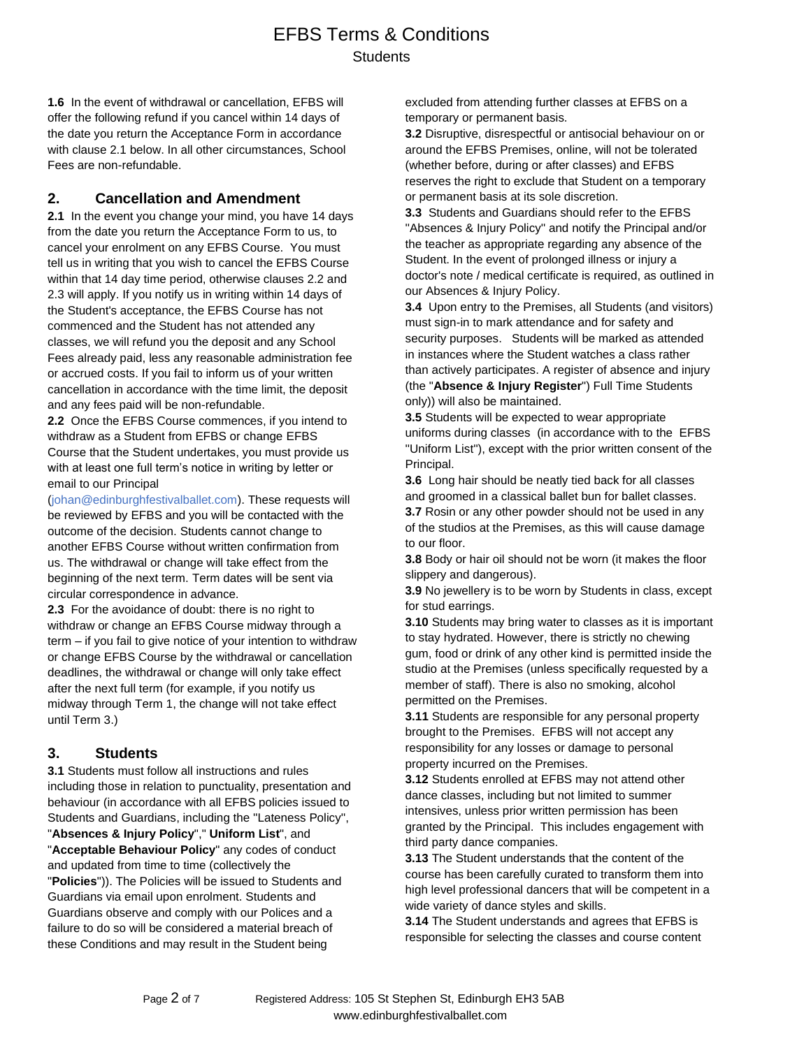**1.6** In the event of withdrawal or cancellation, EFBS will offer the following refund if you cancel within 14 days of the date you return the Acceptance Form in accordance with clause 2.1 below. In all other circumstances, School Fees are non-refundable.

#### **2. Cancellation and Amendment**

**2.1** In the event you change your mind, you have 14 days from the date you return the Acceptance Form to us, to cancel your enrolment on any EFBS Course. You must tell us in writing that you wish to cancel the EFBS Course within that 14 day time period, otherwise clauses 2.2 and 2.3 will apply. If you notify us in writing within 14 days of the Student's acceptance, the EFBS Course has not commenced and the Student has not attended any classes, we will refund you the deposit and any School Fees already paid, less any reasonable administration fee or accrued costs. If you fail to inform us of your written cancellation in accordance with the time limit, the deposit and any fees paid will be non-refundable.

**2.2** Once the EFBS Course commences, if you intend to withdraw as a Student from EFBS or change EFBS Course that the Student undertakes, you must provide us with at least one full term's notice in writing by letter or email to our Principal

(johan@edinburghfestivalballet.com). These requests will be reviewed by EFBS and you will be contacted with the outcome of the decision. Students cannot change to another EFBS Course without written confirmation from us. The withdrawal or change will take effect from the beginning of the next term. Term dates will be sent via circular correspondence in advance.

**2.3** For the avoidance of doubt: there is no right to withdraw or change an EFBS Course midway through a term – if you fail to give notice of your intention to withdraw or change EFBS Course by the withdrawal or cancellation deadlines, the withdrawal or change will only take effect after the next full term (for example, if you notify us midway through Term 1, the change will not take effect until Term 3.)

### **3. Students**

**3.1** Students must follow all instructions and rules including those in relation to punctuality, presentation and behaviour (in accordance with all EFBS policies issued to Students and Guardians, including the ''Lateness Policy'', "**Absences & Injury Policy**"," **Uniform List**", and "**Acceptable Behaviour Policy**" any codes of conduct and updated from time to time (collectively the "**Policies**")). The Policies will be issued to Students and Guardians via email upon enrolment. Students and Guardians observe and comply with our Polices and a failure to do so will be considered a material breach of these Conditions and may result in the Student being

excluded from attending further classes at EFBS on a temporary or permanent basis.

**3.2** Disruptive, disrespectful or antisocial behaviour on or around the EFBS Premises, online, will not be tolerated (whether before, during or after classes) and EFBS reserves the right to exclude that Student on a temporary or permanent basis at its sole discretion.

**3.3** Students and Guardians should refer to the EFBS ''Absences & Injury Policy'' and notify the Principal and/or the teacher as appropriate regarding any absence of the Student. In the event of prolonged illness or injury a doctor's note / medical certificate is required, as outlined in our Absences & Injury Policy.

**3.4** Upon entry to the Premises, all Students (and visitors) must sign-in to mark attendance and for safety and security purposes. Students will be marked as attended in instances where the Student watches a class rather than actively participates. A register of absence and injury (the "**Absence & Injury Register**") Full Time Students only)) will also be maintained.

**3.5** Students will be expected to wear appropriate uniforms during classes (in accordance with to the EFBS ''Uniform List''), except with the prior written consent of the Principal.

**3.6** Long hair should be neatly tied back for all classes and groomed in a classical ballet bun for ballet classes. **3.7** Rosin or any other powder should not be used in any of the studios at the Premises, as this will cause damage to our floor.

**3.8** Body or hair oil should not be worn (it makes the floor slippery and dangerous).

**3.9** No jewellery is to be worn by Students in class, except for stud earrings.

**3.10** Students may bring water to classes as it is important to stay hydrated. However, there is strictly no chewing gum, food or drink of any other kind is permitted inside the studio at the Premises (unless specifically requested by a member of staff). There is also no smoking, alcohol permitted on the Premises.

**3.11** Students are responsible for any personal property brought to the Premises. EFBS will not accept any responsibility for any losses or damage to personal property incurred on the Premises.

**3.12** Students enrolled at EFBS may not attend other dance classes, including but not limited to summer intensives, unless prior written permission has been granted by the Principal. This includes engagement with third party dance companies.

**3.13** The Student understands that the content of the course has been carefully curated to transform them into high level professional dancers that will be competent in a wide variety of dance styles and skills.

**3.14** The Student understands and agrees that EFBS is responsible for selecting the classes and course content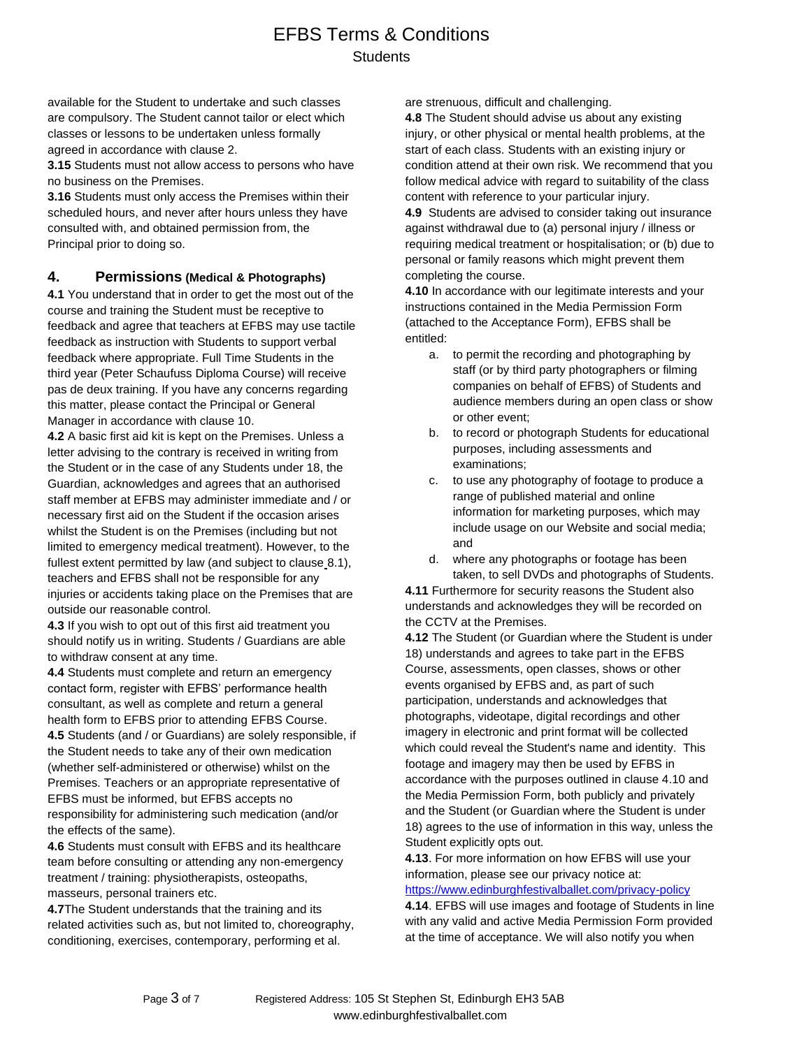available for the Student to undertake and such classes are compulsory. The Student cannot tailor or elect which classes or lessons to be undertaken unless formally agreed in accordance with clause 2.

**3.15** Students must not allow access to persons who have no business on the Premises.

**3.16** Students must only access the Premises within their scheduled hours, and never after hours unless they have consulted with, and obtained permission from, the Principal prior to doing so.

#### **4. Permissions (Medical & Photographs)**

**4.1** You understand that in order to get the most out of the course and training the Student must be receptive to feedback and agree that teachers at EFBS may use tactile feedback as instruction with Students to support verbal feedback where appropriate. Full Time Students in the third year (Peter Schaufuss Diploma Course) will receive pas de deux training. If you have any concerns regarding this matter, please contact the Principal or General Manager in accordance with clause 10.

**4.2** A basic first aid kit is kept on the Premises. Unless a letter advising to the contrary is received in writing from the Student or in the case of any Students under 18, the Guardian, acknowledges and agrees that an authorised staff member at EFBS may administer immediate and / or necessary first aid on the Student if the occasion arises whilst the Student is on the Premises (including but not limited to emergency medical treatment). However, to the fullest extent permitted by law (and subject to clause 8.1), teachers and EFBS shall not be responsible for any injuries or accidents taking place on the Premises that are outside our reasonable control.

**4.3** If you wish to opt out of this first aid treatment you should notify us in writing. Students / Guardians are able to withdraw consent at any time.

**4.4** Students must complete and return an emergency contact form, register with EFBS' performance health consultant, as well as complete and return a general health form to EFBS prior to attending EFBS Course. **4.5** Students (and / or Guardians) are solely responsible, if the Student needs to take any of their own medication (whether self-administered or otherwise) whilst on the Premises. Teachers or an appropriate representative of EFBS must be informed, but EFBS accepts no responsibility for administering such medication (and/or the effects of the same).

**4.6** Students must consult with EFBS and its healthcare team before consulting or attending any non-emergency treatment / training: physiotherapists, osteopaths, masseurs, personal trainers etc.

**4.7**The Student understands that the training and its related activities such as, but not limited to, choreography, conditioning, exercises, contemporary, performing et al.

are strenuous, difficult and challenging.

**4.8** The Student should advise us about any existing injury, or other physical or mental health problems, at the start of each class. Students with an existing injury or condition attend at their own risk. We recommend that you follow medical advice with regard to suitability of the class content with reference to your particular injury.

**4.9** Students are advised to consider taking out insurance against withdrawal due to (a) personal injury / illness or requiring medical treatment or hospitalisation; or (b) due to personal or family reasons which might prevent them completing the course.

**4.10** In accordance with our legitimate interests and your instructions contained in the Media Permission Form (attached to the Acceptance Form), EFBS shall be entitled:

- a. to permit the recording and photographing by staff (or by third party photographers or filming companies on behalf of EFBS) of Students and audience members during an open class or show or other event;
- b. to record or photograph Students for educational purposes, including assessments and examinations;
- c. to use any photography of footage to produce a range of published material and online information for marketing purposes, which may include usage on our Website and social media; and
- d. where any photographs or footage has been taken, to sell DVDs and photographs of Students.

**4.11** Furthermore for security reasons the Student also understands and acknowledges they will be recorded on the CCTV at the Premises.

**4.12** The Student (or Guardian where the Student is under 18) understands and agrees to take part in the EFBS Course, assessments, open classes, shows or other events organised by EFBS and, as part of such participation, understands and acknowledges that photographs, videotape, digital recordings and other imagery in electronic and print format will be collected which could reveal the Student's name and identity. This footage and imagery may then be used by EFBS in accordance with the purposes outlined in clause 4.10 and the Media Permission Form, both publicly and privately and the Student (or Guardian where the Student is under 18) agrees to the use of information in this way, unless the Student explicitly opts out.

### **4.13**. For more information on how EFBS will use your information, please see our privacy notice at:

<https://www.edinburghfestivalballet.com/privacy-policy>

**4.14**. EFBS will use images and footage of Students in line with any valid and active Media Permission Form provided at the time of acceptance. We will also notify you when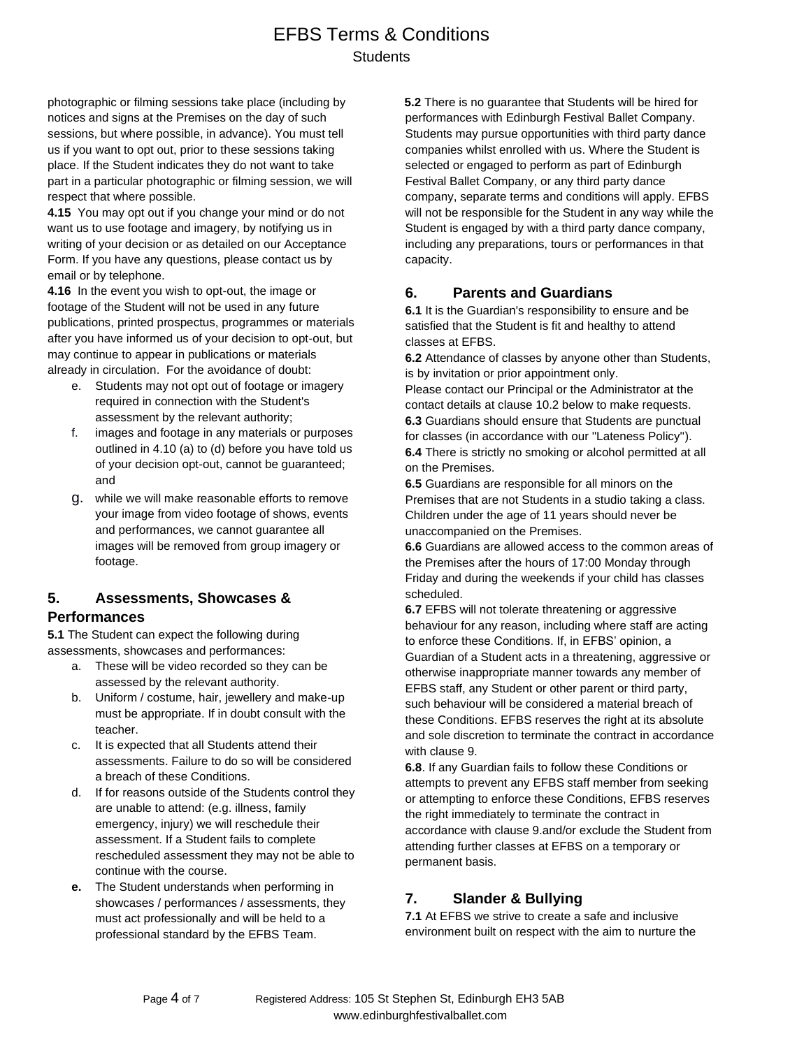photographic or filming sessions take place (including by notices and signs at the Premises on the day of such sessions, but where possible, in advance). You must tell us if you want to opt out, prior to these sessions taking place. If the Student indicates they do not want to take part in a particular photographic or filming session, we will respect that where possible.

**4.15** You may opt out if you change your mind or do not want us to use footage and imagery, by notifying us in writing of your decision or as detailed on our Acceptance Form. If you have any questions, please contact us by email or by telephone.

**4.16** In the event you wish to opt-out, the image or footage of the Student will not be used in any future publications, printed prospectus, programmes or materials after you have informed us of your decision to opt-out, but may continue to appear in publications or materials already in circulation. For the avoidance of doubt:

- e. Students may not opt out of footage or imagery required in connection with the Student's assessment by the relevant authority;
- f. images and footage in any materials or purposes outlined in 4.10 (a) to (d) before you have told us of your decision opt-out, cannot be guaranteed; and
- g. while we will make reasonable efforts to remove your image from video footage of shows, events and performances, we cannot guarantee all images will be removed from group imagery or footage.

#### **5. Assessments, Showcases & Performances**

**5.1** The Student can expect the following during assessments, showcases and performances:

- a. These will be video recorded so they can be assessed by the relevant authority.
- b. Uniform / costume, hair, jewellery and make-up must be appropriate. If in doubt consult with the teacher.
- c. It is expected that all Students attend their assessments. Failure to do so will be considered a breach of these Conditions.
- d. If for reasons outside of the Students control they are unable to attend: (e.g. illness, family emergency, injury) we will reschedule their assessment. If a Student fails to complete rescheduled assessment they may not be able to continue with the course.
- **e.** The Student understands when performing in showcases / performances / assessments, they must act professionally and will be held to a professional standard by the EFBS Team.

**5.2** There is no guarantee that Students will be hired for performances with Edinburgh Festival Ballet Company. Students may pursue opportunities with third party dance companies whilst enrolled with us. Where the Student is selected or engaged to perform as part of Edinburgh Festival Ballet Company, or any third party dance company, separate terms and conditions will apply. EFBS will not be responsible for the Student in any way while the Student is engaged by with a third party dance company, including any preparations, tours or performances in that capacity.

#### **6. Parents and Guardians**

**6.1** It is the Guardian's responsibility to ensure and be satisfied that the Student is fit and healthy to attend classes at EFBS.

**6.2** Attendance of classes by anyone other than Students, is by invitation or prior appointment only.

Please contact our Principal or the Administrator at the contact details at clause 10.2 below to make requests. **6.3** Guardians should ensure that Students are punctual for classes (in accordance with our ''Lateness Policy''). **6.4** There is strictly no smoking or alcohol permitted at all on the Premises.

**6.5** Guardians are responsible for all minors on the Premises that are not Students in a studio taking a class. Children under the age of 11 years should never be unaccompanied on the Premises.

**6.6** Guardians are allowed access to the common areas of the Premises after the hours of 17:00 Monday through Friday and during the weekends if your child has classes scheduled.

**6.7** EFBS will not tolerate threatening or aggressive behaviour for any reason, including where staff are acting to enforce these Conditions. If, in EFBS' opinion, a Guardian of a Student acts in a threatening, aggressive or otherwise inappropriate manner towards any member of EFBS staff, any Student or other parent or third party, such behaviour will be considered a material breach of these Conditions. EFBS reserves the right at its absolute and sole discretion to terminate the contract in accordance with clause 9.

**6.8**. If any Guardian fails to follow these Conditions or attempts to prevent any EFBS staff member from seeking or attempting to enforce these Conditions, EFBS reserves the right immediately to terminate the contract in accordance with clause 9.and/or exclude the Student from attending further classes at EFBS on a temporary or permanent basis.

### **7. Slander & Bullying**

**7.1** At EFBS we strive to create a safe and inclusive environment built on respect with the aim to nurture the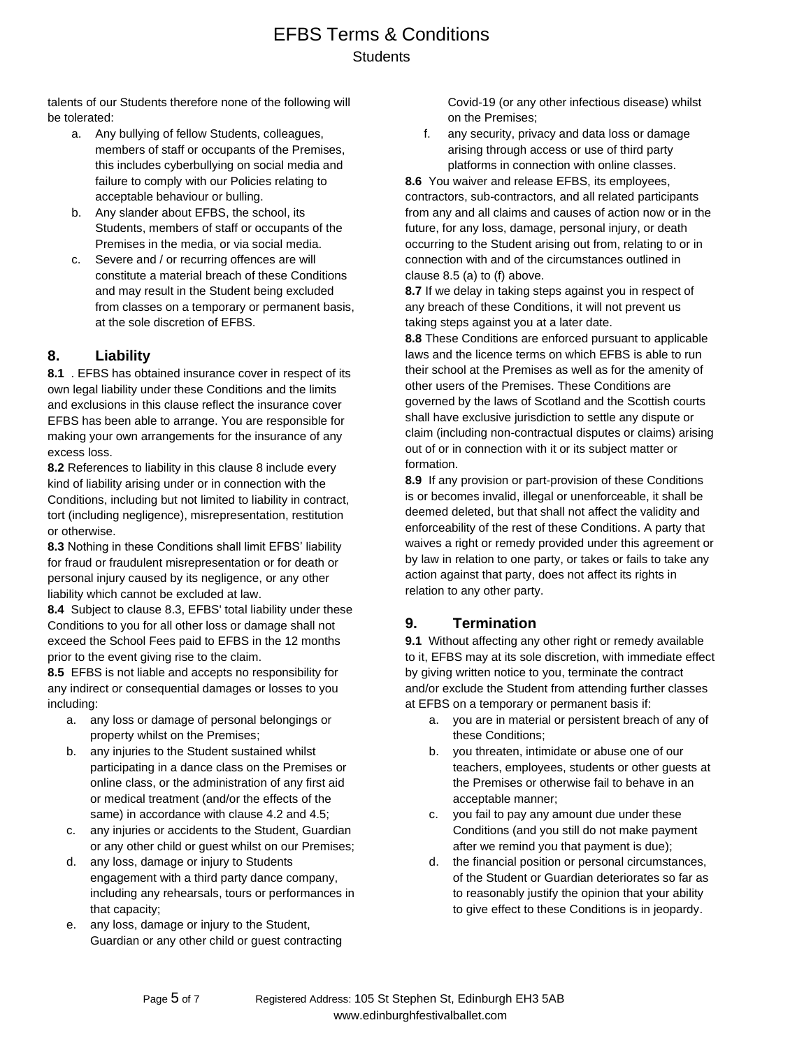talents of our Students therefore none of the following will be tolerated:

- a. Any bullying of fellow Students, colleagues, members of staff or occupants of the Premises, this includes cyberbullying on social media and failure to comply with our Policies relating to acceptable behaviour or bulling.
- b. Any slander about EFBS, the school, its Students, members of staff or occupants of the Premises in the media, or via social media.
- c. Severe and / or recurring offences are will constitute a material breach of these Conditions and may result in the Student being excluded from classes on a temporary or permanent basis, at the sole discretion of EFBS.

### **8. Liability**

**8.1** . EFBS has obtained insurance cover in respect of its own legal liability under these Conditions and the limits and exclusions in this clause reflect the insurance cover EFBS has been able to arrange. You are responsible for making your own arrangements for the insurance of any excess loss.

**8.2** References to liability in this clause 8 include every kind of liability arising under or in connection with the Conditions, including but not limited to liability in contract, tort (including negligence), misrepresentation, restitution or otherwise.

**8.3** Nothing in these Conditions shall limit EFBS' liability for fraud or fraudulent misrepresentation or for death or personal injury caused by its negligence, or any other liability which cannot be excluded at law.

**8.4** Subject to clause 8.3, EFBS' total liability under these Conditions to you for all other loss or damage shall not exceed the School Fees paid to EFBS in the 12 months prior to the event giving rise to the claim.

**8.5** EFBS is not liable and accepts no responsibility for any indirect or consequential damages or losses to you including:

- a. any loss or damage of personal belongings or property whilst on the Premises;
- b. any injuries to the Student sustained whilst participating in a dance class on the Premises or online class, or the administration of any first aid or medical treatment (and/or the effects of the same) in accordance with clause 4.2 and 4.5;
- c. any injuries or accidents to the Student, Guardian or any other child or guest whilst on our Premises;
- d. any loss, damage or injury to Students engagement with a third party dance company, including any rehearsals, tours or performances in that capacity;
- e. any loss, damage or injury to the Student, Guardian or any other child or guest contracting

Covid-19 (or any other infectious disease) whilst on the Premises;

f. any security, privacy and data loss or damage arising through access or use of third party platforms in connection with online classes.

**8.6** You waiver and release EFBS, its employees, contractors, sub-contractors, and all related participants from any and all claims and causes of action now or in the future, for any loss, damage, personal injury, or death occurring to the Student arising out from, relating to or in connection with and of the circumstances outlined in clause 8.5 (a) to (f) above.

**8.7** If we delay in taking steps against you in respect of any breach of these Conditions, it will not prevent us taking steps against you at a later date.

**8.8** These Conditions are enforced pursuant to applicable laws and the licence terms on which EFBS is able to run their school at the Premises as well as for the amenity of other users of the Premises. These Conditions are governed by the laws of Scotland and the Scottish courts shall have exclusive jurisdiction to settle any dispute or claim (including non-contractual disputes or claims) arising out of or in connection with it or its subject matter or formation.

**8.9** If any provision or part-provision of these Conditions is or becomes invalid, illegal or unenforceable, it shall be deemed deleted, but that shall not affect the validity and enforceability of the rest of these Conditions. A party that waives a right or remedy provided under this agreement or by law in relation to one party, or takes or fails to take any action against that party, does not affect its rights in relation to any other party.

### **9. Termination**

**9.1** Without affecting any other right or remedy available to it, EFBS may at its sole discretion, with immediate effect by giving written notice to you, terminate the contract and/or exclude the Student from attending further classes at EFBS on a temporary or permanent basis if:

- a. you are in material or persistent breach of any of these Conditions;
- b. you threaten, intimidate or abuse one of our teachers, employees, students or other guests at the Premises or otherwise fail to behave in an acceptable manner;
- c. you fail to pay any amount due under these Conditions (and you still do not make payment after we remind you that payment is due);
- d. the financial position or personal circumstances, of the Student or Guardian deteriorates so far as to reasonably justify the opinion that your ability to give effect to these Conditions is in jeopardy.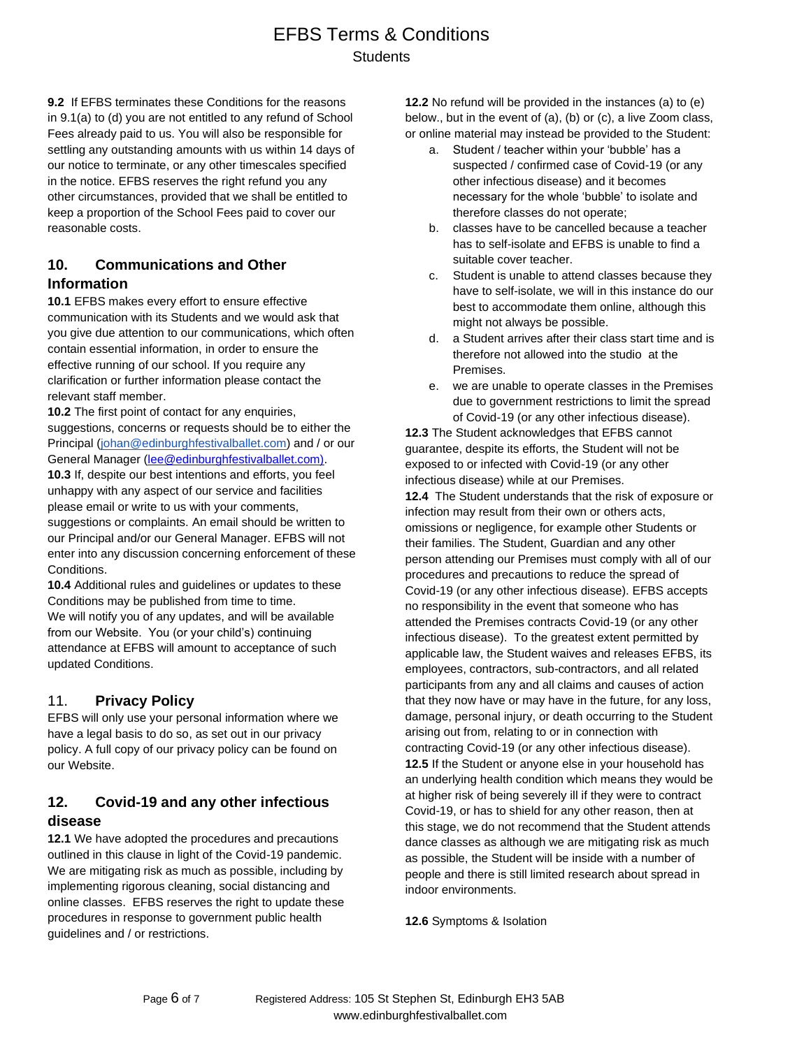**9.2** If EFBS terminates these Conditions for the reasons in 9.1(a) to (d) you are not entitled to any refund of School Fees already paid to us. You will also be responsible for settling any outstanding amounts with us within 14 days of our notice to terminate, or any other timescales specified in the notice. EFBS reserves the right refund you any other circumstances, provided that we shall be entitled to keep a proportion of the School Fees paid to cover our reasonable costs.

### **10. Communications and Other Information**

**10.1** EFBS makes every effort to ensure effective communication with its Students and we would ask that you give due attention to our communications, which often contain essential information, in order to ensure the effective running of our school. If you require any clarification or further information please contact the relevant staff member.

**10.2** The first point of contact for any enquiries, suggestions, concerns or requests should be to either the Principal [\(johan@edinburghfestivalballet.com\)](mailto:johan@edinburghfestivalballet.com) and / or our General Manager [\(lee@edinburghfestivalballet.com\).](about:blank) **10.3** If, despite our best intentions and efforts, you feel unhappy with any aspect of our service and facilities please email or write to us with your comments, suggestions or complaints. An email should be written to

our Principal and/or our General Manager. EFBS will not enter into any discussion concerning enforcement of these Conditions.

**10.4** Additional rules and guidelines or updates to these Conditions may be published from time to time. We will notify you of any updates, and will be available from our Website. You (or your child's) continuing attendance at EFBS will amount to acceptance of such updated Conditions.

### 11. **Privacy Policy**

EFBS will only use your personal information where we have a legal basis to do so, as set out in our privacy policy. A full copy of our privacy policy can be found on our Website.

### **12. Covid-19 and any other infectious disease**

**12.1** We have adopted the procedures and precautions outlined in this clause in light of the Covid-19 pandemic. We are mitigating risk as much as possible, including by implementing rigorous cleaning, social distancing and online classes. EFBS reserves the right to update these procedures in response to government public health guidelines and / or restrictions.

**12.2** No refund will be provided in the instances (a) to (e) below., but in the event of (a), (b) or (c), a live Zoom class, or online material may instead be provided to the Student:

- a. Student / teacher within your 'bubble' has a suspected / confirmed case of Covid-19 (or any other infectious disease) and it becomes necessary for the whole 'bubble' to isolate and therefore classes do not operate;
- b. classes have to be cancelled because a teacher has to self-isolate and EFBS is unable to find a suitable cover teacher.
- c. Student is unable to attend classes because they have to self-isolate, we will in this instance do our best to accommodate them online, although this might not always be possible.
- d. a Student arrives after their class start time and is therefore not allowed into the studio at the Premises.
- e. we are unable to operate classes in the Premises due to government restrictions to limit the spread of Covid-19 (or any other infectious disease).

**12.3** The Student acknowledges that EFBS cannot guarantee, despite its efforts, the Student will not be exposed to or infected with Covid-19 (or any other infectious disease) while at our Premises.

**12.4** The Student understands that the risk of exposure or infection may result from their own or others acts, omissions or negligence, for example other Students or their families. The Student, Guardian and any other person attending our Premises must comply with all of our procedures and precautions to reduce the spread of Covid-19 (or any other infectious disease). EFBS accepts no responsibility in the event that someone who has attended the Premises contracts Covid-19 (or any other infectious disease). To the greatest extent permitted by applicable law, the Student waives and releases EFBS, its employees, contractors, sub-contractors, and all related participants from any and all claims and causes of action that they now have or may have in the future, for any loss, damage, personal injury, or death occurring to the Student arising out from, relating to or in connection with contracting Covid-19 (or any other infectious disease). **12.5** If the Student or anyone else in your household has an underlying health condition which means they would be at higher risk of being severely ill if they were to contract Covid-19, or has to shield for any other reason, then at this stage, we do not recommend that the Student attends dance classes as although we are mitigating risk as much as possible, the Student will be inside with a number of people and there is still limited research about spread in indoor environments.

**12.6** Symptoms & Isolation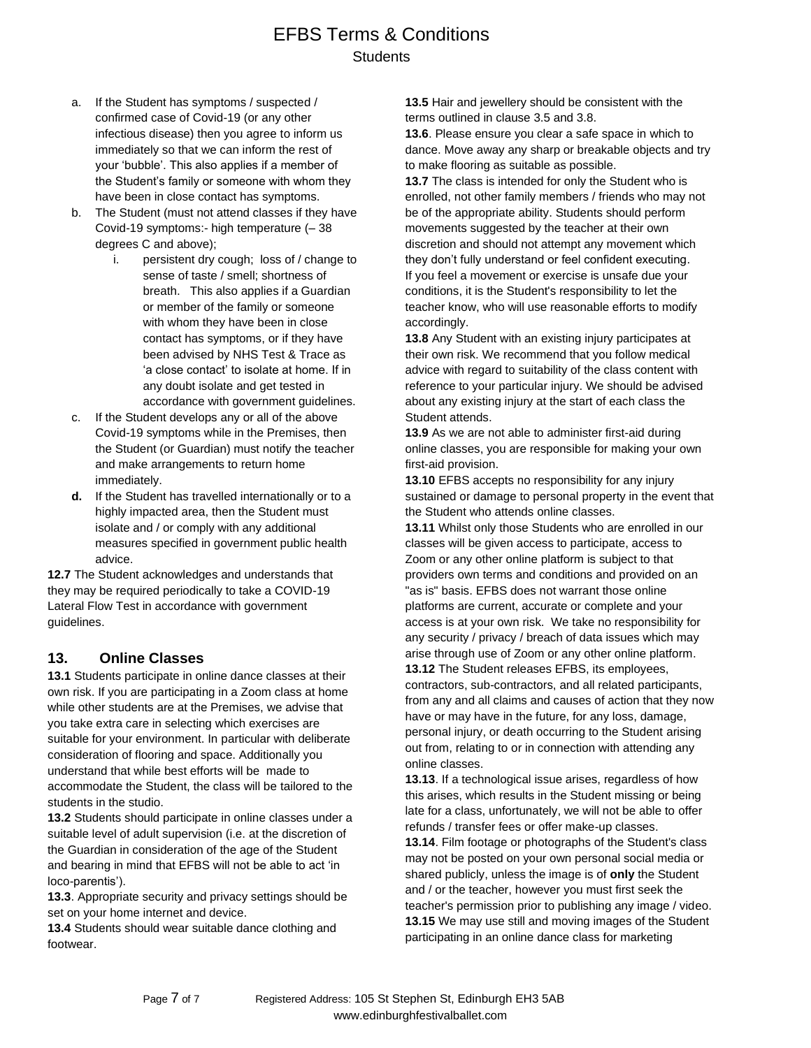- a. If the Student has symptoms / suspected / confirmed case of Covid-19 (or any other infectious disease) then you agree to inform us immediately so that we can inform the rest of your 'bubble'. This also applies if a member of the Student's family or someone with whom they have been in close contact has symptoms.
- b. The Student (must not attend classes if they have Covid-19 symptoms:- high temperature (– 38 degrees C and above);
	- i. persistent dry cough; loss of / change to sense of taste / smell; shortness of breath. This also applies if a Guardian or member of the family or someone with whom they have been in close contact has symptoms, or if they have been advised by NHS Test & Trace as 'a close contact' to isolate at home. If in any doubt isolate and get tested in accordance with government guidelines.
- c. If the Student develops any or all of the above Covid-19 symptoms while in the Premises, then the Student (or Guardian) must notify the teacher and make arrangements to return home immediately.
- **d.** If the Student has travelled internationally or to a highly impacted area, then the Student must isolate and / or comply with any additional measures specified in government public health advice.

**12.7** The Student acknowledges and understands that they may be required periodically to take a COVID-19 Lateral Flow Test in accordance with government guidelines.

#### **13. Online Classes**

**13.1** Students participate in online dance classes at their own risk. If you are participating in a Zoom class at home while other students are at the Premises, we advise that you take extra care in selecting which exercises are suitable for your environment. In particular with deliberate consideration of flooring and space. Additionally you understand that while best efforts will be made to accommodate the Student, the class will be tailored to the students in the studio.

**13.2** Students should participate in online classes under a suitable level of adult supervision (i.e. at the discretion of the Guardian in consideration of the age of the Student and bearing in mind that EFBS will not be able to act 'in loco-parentis').

**13.3**. Appropriate security and privacy settings should be set on your home internet and device.

**13.4** Students should wear suitable dance clothing and footwear.

**13.5** Hair and jewellery should be consistent with the terms outlined in clause 3.5 and 3.8.

**13.6**. Please ensure you clear a safe space in which to dance. Move away any sharp or breakable objects and try to make flooring as suitable as possible.

**13.7** The class is intended for only the Student who is enrolled, not other family members / friends who may not be of the appropriate ability. Students should perform movements suggested by the teacher at their own discretion and should not attempt any movement which they don't fully understand or feel confident executing. If you feel a movement or exercise is unsafe due your conditions, it is the Student's responsibility to let the teacher know, who will use reasonable efforts to modify accordingly.

**13.8** Any Student with an existing injury participates at their own risk. We recommend that you follow medical advice with regard to suitability of the class content with reference to your particular injury. We should be advised about any existing injury at the start of each class the Student attends.

**13.9** As we are not able to administer first-aid during online classes, you are responsible for making your own first-aid provision.

**13.10** EFBS accepts no responsibility for any injury sustained or damage to personal property in the event that the Student who attends online classes.

**13.11** Whilst only those Students who are enrolled in our classes will be given access to participate, access to Zoom or any other online platform is subject to that providers own terms and conditions and provided on an "as is" basis. EFBS does not warrant those online platforms are current, accurate or complete and your access is at your own risk. We take no responsibility for any security / privacy / breach of data issues which may arise through use of Zoom or any other online platform. **13.12** The Student releases EFBS, its employees, contractors, sub-contractors, and all related participants, from any and all claims and causes of action that they now have or may have in the future, for any loss, damage, personal injury, or death occurring to the Student arising out from, relating to or in connection with attending any online classes.

**13.13**. If a technological issue arises, regardless of how this arises, which results in the Student missing or being late for a class, unfortunately, we will not be able to offer refunds / transfer fees or offer make-up classes. **13.14**. Film footage or photographs of the Student's class may not be posted on your own personal social media or shared publicly, unless the image is of **only** the Student and / or the teacher, however you must first seek the teacher's permission prior to publishing any image / video. **13.15** We may use still and moving images of the Student participating in an online dance class for marketing